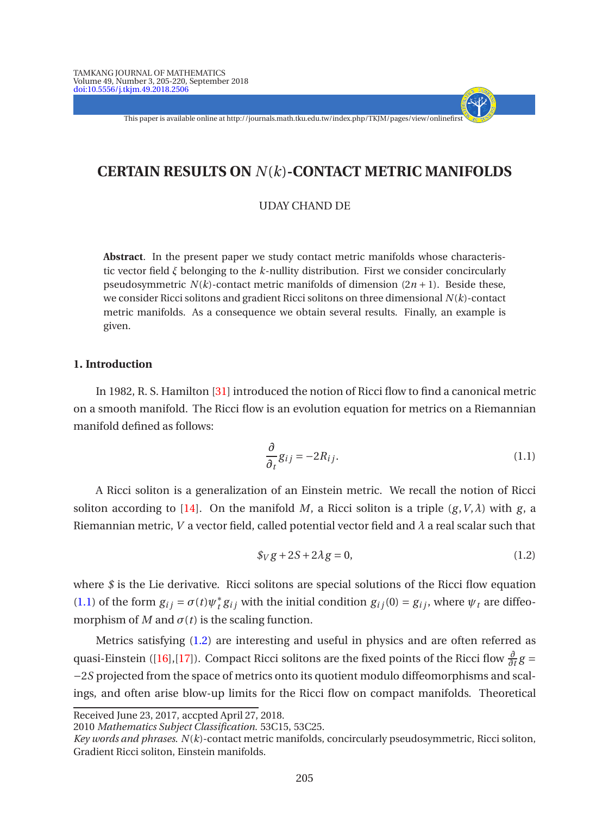This paper is available online at http://journals.math.tku.edu.tw/index.php/TKJM/pages/view/onlinefirst

# **CERTAIN RESULTS ON** *N*(*k*)**-CONTACT METRIC MANIFOLDS**

UDAY CHAND DE

**Abstract**. In the present paper we study contact metric manifolds whose characteristic vector field *ξ* belonging to the *k*-nullity distribution. First we consider concircularly pseudosymmetric  $N(k)$ -contact metric manifolds of dimension  $(2n + 1)$ . Beside these, we consider Ricci solitons and gradient Ricci solitons on three dimensional *N*(*k*)-contact metric manifolds. As a consequence we obtain several results. Finally, an example is given.

### **1. Introduction**

In 1982, R. S. Hamilton [\[31](#page-14-0)] introduced the notion of Ricci flow to find a canonical metric on a smooth manifold. The Ricci flow is an evolution equation for metrics on a Riemannian manifold defined as follows:

<span id="page-0-1"></span><span id="page-0-0"></span>
$$
\frac{\partial}{\partial_t}g_{ij} = -2R_{ij}.\tag{1.1}
$$

- + - - - -

A Ricci soliton is a generalization of an Einstein metric. We recall the notion of Ricci soliton according to [\[14\]](#page-14-1). On the manifold *M*, a Ricci soliton is a triple  $(g, V, \lambda)$  with *g*, a Riemannian metric, *V* a vector field, called potential vector field and *λ* a real scalar such that

$$
\mathcal{S}_V g + 2S + 2\lambda g = 0,\tag{1.2}
$$

where *\$* is the Lie derivative. Ricci solitons are special solutions of the Ricci flow equation [\(1.1\)](#page-0-0) of the form  $g_{ij} = \sigma(t)\psi_t^* g_{ij}$  with the initial condition  $g_{ij}(0) = g_{ij}$ , where  $\psi_t$  are diffeomorphism of *M* and  $\sigma(t)$  is the scaling function.

Metrics satisfying [\(1.2\)](#page-0-1) are interesting and useful in physics and are often referred as quasi-Einstein ([\[16](#page-14-2)],[\[17](#page-14-3)]). Compact Ricci solitons are the fixed points of the Ricci flow *∂*  $\frac{\partial}{\partial t}g =$ −2*S* projected from the space of metrics onto its quotient modulo diffeomorphisms and scalings, and often arise blow-up limits for the Ricci flow on compact manifolds. Theoretical

Received June 23, 2017, accpted April 27, 2018.

2010 *Mathematics Subject Classification*. 53C15, 53C25.

*Key words and phrases*. *N*(*k*)-contact metric manifolds, concircularly pseudosymmetric, Ricci soliton, Gradient Ricci soliton, Einstein manifolds.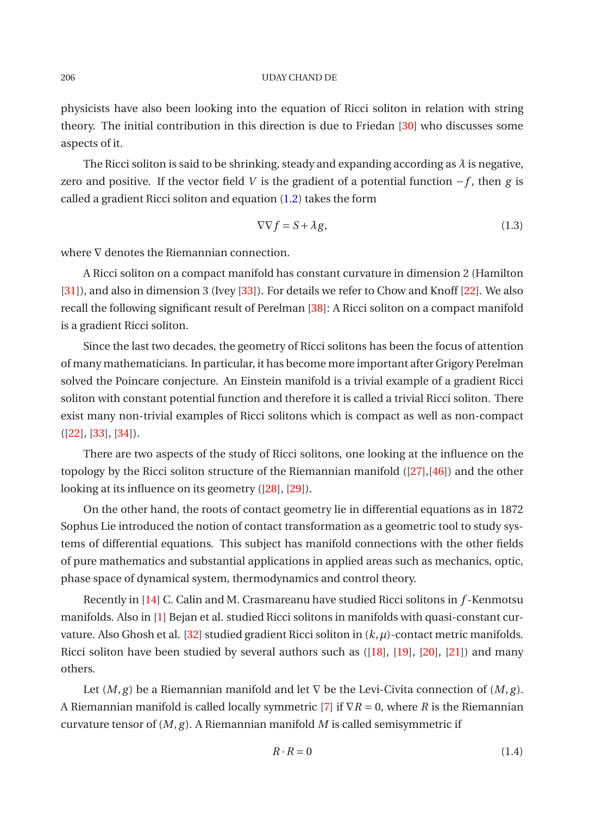physicists have also been looking into the equation of Ricci soliton in relation with string theory. The initial contribution in this direction is due to Friedan [\[30](#page-14-4)] who discusses some aspects of it.

The Ricci soliton is said to be shrinking, steady and expanding according as  $\lambda$  is negative, zero and positive. If the vector field *V* is the gradient of a potential function  $-f$ , then *g* is called a gradient Ricci soliton and equation [\(1.2\)](#page-0-1) takes the form

<span id="page-1-0"></span>
$$
\nabla \nabla f = S + \lambda g,\tag{1.3}
$$

where ∇ denotes the Riemannian connection.

A Ricci soliton on a compact manifold has constant curvature in dimension 2 (Hamilton [\[31](#page-14-0)]), and also in dimension 3 (Ivey [\[33](#page-14-5)]). For details we refer to Chow and Knoff [\[22](#page-14-6)]. We also recall the following significant result of Perelman [\[38](#page-15-0)]: A Ricci soliton on a compact manifold is a gradient Ricci soliton.

Since the last two decades, the geometry of Ricci solitons has been the focus of attention of many mathematicians. In particular, it has become more important after Grigory Perelman solved the Poincare conjecture. An Einstein manifold is a trivial example of a gradient Ricci soliton with constant potential function and therefore it is called a trivial Ricci soliton. There exist many non-trivial examples of Ricci solitons which is compact as well as non-compact  $([22], [33], [34]).$  $([22], [33], [34]).$  $([22], [33], [34]).$  $([22], [33], [34]).$  $([22], [33], [34]).$  $([22], [33], [34]).$  $([22], [33], [34]).$ 

There are two aspects of the study of Ricci solitons, one looking at the influence on the topology by the Ricci soliton structure of the Riemannian manifold ([\[27\]](#page-14-8),[\[46\]](#page-15-1)) and the other looking at its influence on its geometry ([\[28](#page-14-9)], [\[29\]](#page-14-10)).

On the other hand, the roots of contact geometry lie in differential equations as in 1872 Sophus Lie introduced the notion of contact transformation as a geometric tool to study systems of differential equations. This subject has manifold connections with the other fields of pure mathematics and substantial applications in applied areas such as mechanics, optic, phase space of dynamical system, thermodynamics and control theory.

Recently in [\[14\]](#page-14-1) C. Calin and M. Crasmareanu have studied Ricci solitons in *f* -Kenmotsu manifolds. Also in [\[1](#page-13-0)] Bejan et al. studied Ricci solitons in manifolds with quasi-constant cur-vature. Also Ghosh et al. [\[32\]](#page-14-11) studied gradient Ricci soliton in  $(k, \mu)$ -contact metric manifolds. Ricci soliton have been studied by several authors such as  $([18], [19], [20], [21])$  $([18], [19], [20], [21])$  $([18], [19], [20], [21])$  $([18], [19], [20], [21])$  $([18], [19], [20], [21])$  $([18], [19], [20], [21])$  $([18], [19], [20], [21])$  $([18], [19], [20], [21])$  $([18], [19], [20], [21])$  and many others.

Let  $(M, g)$  be a Riemannian manifold and let  $\nabla$  be the Levi-Civita connection of  $(M, g)$ . A Riemannian manifold is called locally symmetric [\[7](#page-13-1)] if ∇*R* = 0, where *R* is the Riemannian curvature tensor of (*M*, *g*). A Riemannian manifold *M* is called semisymmetric if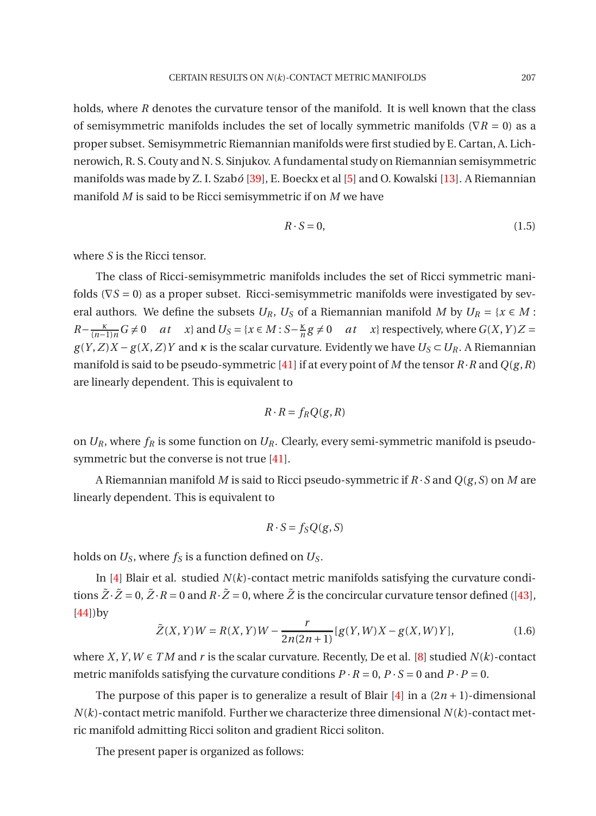holds, where *R* denotes the curvature tensor of the manifold. It is well known that the class of semisymmetric manifolds includes the set of locally symmetric manifolds (∇*R* = 0) as a proper subset. Semisymmetric Riemannian manifolds were first studied by E. Cartan, A. Lichnerowich, R. S. Couty and N. S. Sinjukov. A fundamental study on Riemannian semisymmetric manifolds was made by Z. I. Szab*o*´ [\[39](#page-15-2)], E. Boeckx et al [\[5](#page-13-2)] and O. Kowalski [\[13\]](#page-14-16). A Riemannian manifold *M* is said to be Ricci semisymmetric if on *M* we have

$$
R \cdot S = 0,\tag{1.5}
$$

where *S* is the Ricci tensor.

The class of Ricci-semisymmetric manifolds includes the set of Ricci symmetric manifolds ( $∇S = 0$ ) as a proper subset. Ricci-semisymmetric manifolds were investigated by several authors. We define the subsets  $U_R$ ,  $U_S$  of a Riemannian manifold  $M$  by  $U_R = \{x \in M :$ *R*− $\frac{\kappa}{(n-1)n}$ *G*  $\neq$  0 *at x*} and *U*<sub>*S*</sub> = {*x* ∈ *M* : *S*− $\frac{\kappa}{n}$  $\frac{\kappa}{n}g \neq 0$  *at x*} respectively, where  $G(X, Y)Z =$  $g(Y, Z)X - g(X, Z)Y$  and  $\kappa$  is the scalar curvature. Evidently we have  $U_S \subset U_R$ . A Riemannian manifold is said to be pseudo-symmetric [\[41](#page-15-3)] if at every point of *M* the tensor  $R \cdot R$  and  $Q(g, R)$ are linearly dependent. This is equivalent to

$$
R \cdot R = f_R Q(g, R)
$$

on  $U_R$ , where  $f_R$  is some function on  $U_R$ . Clearly, every semi-symmetric manifold is pseudo-symmetric but the converse is not true [\[41\]](#page-15-3).

A Riemannian manifold *M* is said to Ricci pseudo-symmetric if *R* ·*S* and *Q*(*g*,*S*) on *M* are linearly dependent. This is equivalent to

$$
R \cdot S = f_S Q(g, S)
$$

holds on  $U_S$ , where  $f_S$  is a function defined on  $U_S$ .

<span id="page-2-0"></span>In [\[4\]](#page-13-3) Blair et al. studied  $N(k)$ -contact metric manifolds satisfying the curvature conditions  $\tilde{Z}\cdot\tilde{Z}=0$ ,  $\tilde{Z}\cdot R=0$  and  $R\cdot\tilde{Z}=0$ , where  $\tilde{Z}$  is the concircular curvature tensor defined ([\[43\]](#page-15-4),  $[44]$  $[44]$ ) by

$$
\tilde{Z}(X,Y)W = R(X,Y)W - \frac{r}{2n(2n+1)}[g(Y,W)X - g(X,W)Y],
$$
\n(1.6)

where *X*, *Y*, *W*  $\in TM$  and *r* is the scalar curvature. Recently, De et al. [\[8\]](#page-13-4) studied *N*(*k*)-contact metric manifolds satisfying the curvature conditions  $P \cdot R = 0$ ,  $P \cdot S = 0$  and  $P \cdot P = 0$ .

The purpose of this paper is to generalize a result of Blair  $[4]$  in a  $(2n + 1)$ -dimensional  $N(k)$ -contact metric manifold. Further we characterize three dimensional  $N(k)$ -contact metric manifold admitting Ricci soliton and gradient Ricci soliton.

The present paper is organized as follows: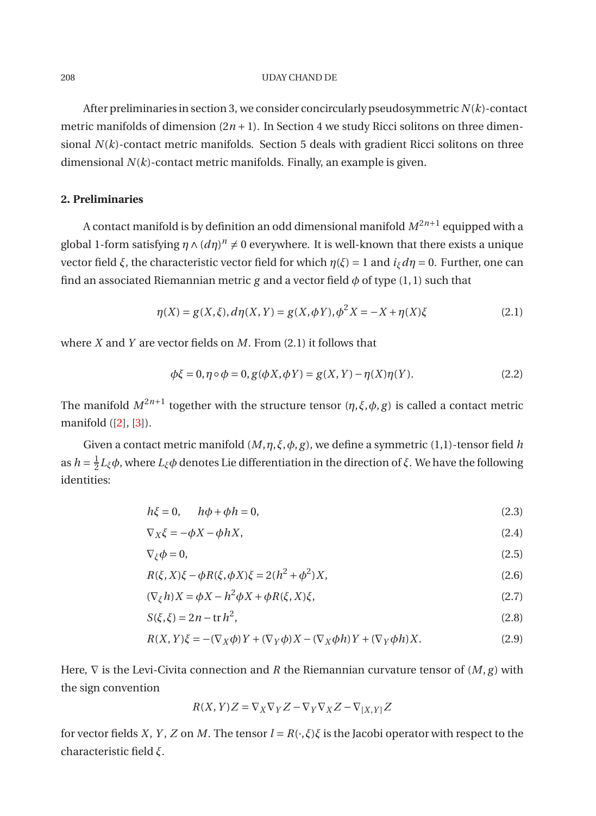After preliminaries in section 3, we consider concircularly pseudosymmetric *N*(*k*)-contact metric manifolds of dimension  $(2n + 1)$ . In Section 4 we study Ricci solitons on three dimensional *N*(*k*)-contact metric manifolds. Section 5 deals with gradient Ricci solitons on three dimensional *N*(*k*)-contact metric manifolds. Finally, an example is given.

### **2. Preliminaries**

A contact manifold is by definition an odd dimensional manifold *M*2*n*+<sup>1</sup> equipped with a global 1-form satisfying  $\eta \wedge (d\eta)^n \neq 0$  everywhere. It is well-known that there exists a unique vector field *ξ*, the characteristic vector field for which *η*(*ξ*) = 1 and *iξdη* = 0. Further, one can find an associated Riemannian metric *g* and a vector field *φ* of type (1,1) such that

$$
\eta(X) = g(X, \xi), d\eta(X, Y) = g(X, \phi Y), \phi^2 X = -X + \eta(X)\xi
$$
\n(2.1)

where *X* and *Y* are vector fields on *M*. From (2.1) it follows that

$$
\phi\xi = 0, \eta \circ \phi = 0, g(\phi X, \phi Y) = g(X, Y) - \eta(X)\eta(Y). \tag{2.2}
$$

The manifold  $M^{2n+1}$  together with the structure tensor  $(\eta,\xi,\phi,g)$  is called a contact metric manifold ([\[2\]](#page-13-5), [\[3\]](#page-13-6)).

Given a contact metric manifold (*M*,*η*,*ξ*,*φ*, *g*), we define a symmetric (1,1)-tensor field *h* as  $h=\frac{1}{2}$ 2 *Lξφ*, where *Lξφ* denotes Lie differentiation in the direction of *ξ*. We have the following identities:

$$
h\xi = 0, \qquad h\phi + \phi h = 0,\tag{2.3}
$$

$$
\nabla_X \xi = -\phi X - \phi h X,\tag{2.4}
$$

$$
\nabla_{\xi}\phi = 0, \tag{2.5}
$$

$$
R(\xi, X)\xi - \phi R(\xi, \phi X)\xi = 2(h^2 + \phi^2)X,
$$
\n(2.6)

$$
(\nabla_{\xi} h) X = \phi X - h^2 \phi X + \phi R(\xi, X)\xi,
$$
\n(2.7)

$$
S(\xi, \xi) = 2n - \text{tr} \, h^2,\tag{2.8}
$$

$$
R(X,Y)\xi = -(\nabla_X \phi)Y + (\nabla_Y \phi)X - (\nabla_X \phi h)Y + (\nabla_Y \phi h)X.
$$
\n(2.9)

Here,  $\nabla$  is the Levi-Civita connection and *R* the Riemannian curvature tensor of  $(M, g)$  with the sign convention

$$
R(X,Y)Z=\nabla_X\nabla_YZ-\nabla_Y\nabla_XZ-\nabla_{[X,Y]}Z
$$

for vector fields *X*, *Y*, *Z* on *M*. The tensor  $l = R(\cdot, \xi)\xi$  is the Jacobi operator with respect to the characteristic field *ξ*.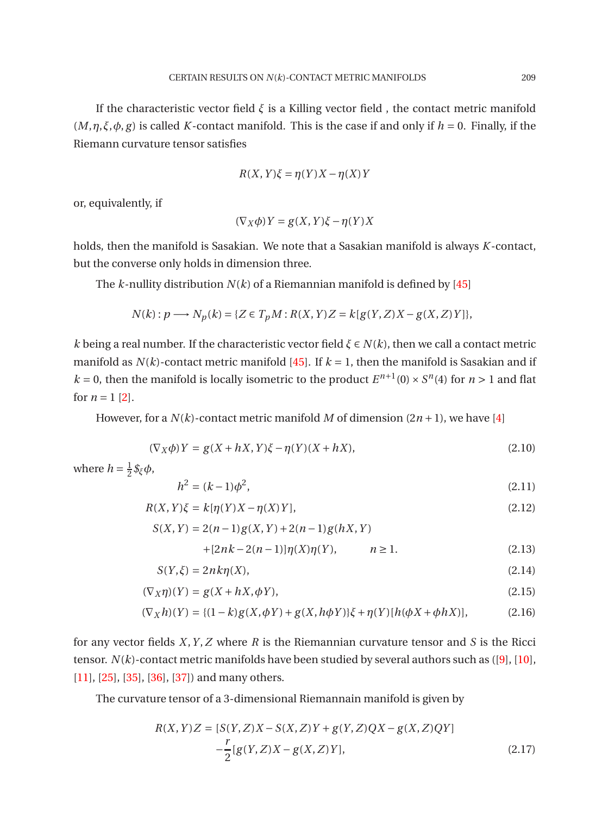If the characteristic vector field *ξ* is a Killing vector field , the contact metric manifold  $(M, \eta, \xi, \phi, g)$  is called *K*-contact manifold. This is the case if and only if  $h = 0$ . Finally, if the Riemann curvature tensor satisfies

$$
R(X, Y)\xi = \eta(Y)X - \eta(X)Y
$$

or, equivalently, if

$$
(\nabla_X \phi) Y = g(X, Y)\xi - \eta(Y)X
$$

holds, then the manifold is Sasakian. We note that a Sasakian manifold is always *K* -contact, but the converse only holds in dimension three.

The  $k$ -nullity distribution  $N(k)$  of a Riemannian manifold is defined by [\[45](#page-15-6)]

$$
N(k): p \longrightarrow N_p(k) = \{ Z \in T_pM : R(X,Y)Z = k[g(Y,Z)X - g(X,Z)Y] \},
$$

*k* being a real number. If the characteristic vector field  $\xi \in N(k)$ , then we call a contact metric manifold as  $N(k)$ -contact metric manifold [\[45](#page-15-6)]. If  $k = 1$ , then the manifold is Sasakian and if  $k = 0$ , then the manifold is locally isometric to the product  $E^{n+1}(0) \times S^n(4)$  for  $n > 1$  and flat for  $n = 1$  [\[2](#page-13-5)].

However, for a  $N(k)$ -contact metric manifold  $M$  of dimension  $(2n+1)$ , we have [\[4\]](#page-13-3)

<span id="page-4-0"></span>
$$
(\nabla_X \phi) Y = g(X + hX, Y)\xi - \eta(Y)(X + hX),\tag{2.10}
$$

where  $h = \frac{1}{2}$ 2 *\$ξφ*,

$$
h^2 = (k-1)\phi^2,\tag{2.11}
$$

$$
R(X,Y)\xi = k[\eta(Y)X - \eta(X)Y],\tag{2.12}
$$

$$
S(X, Y) = 2(n-1)g(X, Y) + 2(n-1)g(hX, Y) + [2nk-2(n-1)]\eta(X)\eta(Y), \qquad n \ge 1.
$$
 (2.13)

$$
S(Y,\xi) = 2nk\eta(X),\tag{2.14}
$$

$$
(\nabla_X \eta)(Y) = g(X + hX, \phi Y), \tag{2.15}
$$

$$
(\nabla_X h)(Y) = \{(1 - k)g(X, \phi Y) + g(X, h\phi Y)\}\xi + \eta(Y)[h(\phi X + \phi hX)],
$$
\n(2.16)

for any vector fields *X*,*Y* ,*Z* where *R* is the Riemannian curvature tensor and *S* is the Ricci tensor. *N*(*k*)-contact metric manifolds have been studied by several authors such as ([\[9\]](#page-14-17), [\[10\]](#page-14-18), [\[11](#page-14-19)], [\[25](#page-14-20)], [\[35\]](#page-14-21), [\[36\]](#page-14-22), [\[37](#page-15-7)]) and many others.

The curvature tensor of a 3-dimensional Riemannain manifold is given by

$$
R(X,Y)Z = [S(Y,Z)X - S(X,Z)Y + g(Y,Z)QX - g(X,Z)QY] - \frac{r}{2}[g(Y,Z)X - g(X,Z)Y],
$$
\n(2.17)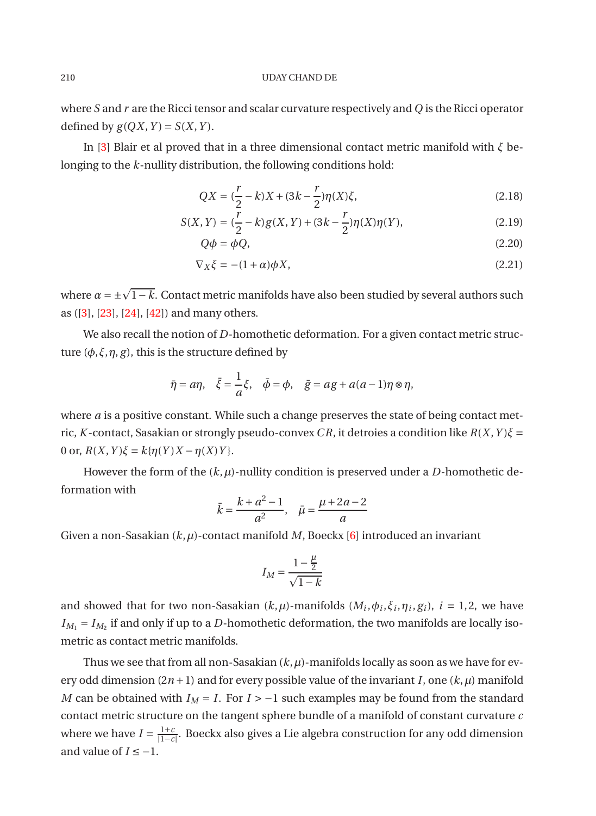where *S* and *r* are the Ricci tensor and scalar curvature respectively and*Q* is the Ricci operator defined by  $g(QX, Y) = S(X, Y)$ .

In [\[3](#page-13-6)] Blair et al proved that in a three dimensional contact metric manifold with *ξ* belonging to the *k*-nullity distribution, the following conditions hold:

<span id="page-5-1"></span>
$$
QX = (\frac{r}{2} - k)X + (3k - \frac{r}{2})\eta(X)\xi,
$$
\n(2.18)

$$
S(X,Y) = \left(\frac{r}{2} - k\right)g(X,Y) + (3k - \frac{r}{2})\eta(X)\eta(Y),\tag{2.19}
$$

$$
Q\phi = \phi Q, \tag{2.20}
$$

$$
\nabla_X \xi = -(1+\alpha)\phi X,\tag{2.21}
$$

where  $\alpha = \pm \sqrt{1-k}$ . Contact metric manifolds have also been studied by several authors such as ([\[3](#page-13-6)], [\[23](#page-14-23)], [\[24](#page-14-24)], [\[42\]](#page-15-8)) and many others.

We also recall the notion of *D*-homothetic deformation. For a given contact metric structure  $(\phi, \xi, \eta, g)$ , this is the structure defined by

$$
\bar{\eta} = a\eta, \quad \bar{\xi} = \frac{1}{a}\xi, \quad \bar{\phi} = \phi, \quad \bar{g} = ag + a(a-1)\eta \otimes \eta,
$$

where *a* is a positive constant. While such a change preserves the state of being contact metric, *K* -contact, Sasakian or strongly pseudo-convex *CR*, it detroies a condition like *R*(*X*,*Y* )*ξ* =  $0$  or,  $R(X, Y)$ ξ =  $k$ { $η(Y)X − η(X)Y$ }.

However the form of the  $(k, \mu)$ -nullity condition is preserved under a *D*-homothetic deformation with

$$
\bar{k} = \frac{k + a^2 - 1}{a^2}, \quad \bar{\mu} = \frac{\mu + 2a - 2}{a}
$$

Given a non-Sasakian (*k*,*µ*)-contact manifold *M*, Boeckx [\[6\]](#page-13-7) introduced an invariant

$$
I_M = \frac{1 - \frac{\mu}{2}}{\sqrt{1 - k}}
$$

and showed that for two non-Sasakian  $(k, \mu)$ -manifolds  $(M_i, \phi_i, \xi_i, \eta_i, g_i)$ ,  $i = 1, 2$ , we have  $I_{M_1} = I_{M_2}$  if and only if up to a *D*-homothetic deformation, the two manifolds are locally isometric as contact metric manifolds.

<span id="page-5-0"></span>Thus we see that from all non-Sasakian  $(k, \mu)$ -manifolds locally as soon as we have for every odd dimension  $(2n+1)$  and for every possible value of the invariant *I*, one  $(k,\mu)$  manifold *M* can be obtained with  $I_M = I$ . For  $I > -1$  such examples may be found from the standard contact metric structure on the tangent sphere bundle of a manifold of constant curvature *c* where we have  $I = \frac{1+c}{|1-c|}$ <u><sup>1+*c*</sub></mark>. Boeckx also gives a Lie algebra construction for any odd dimension</u></u></sup> and value of  $I \leq -1$ .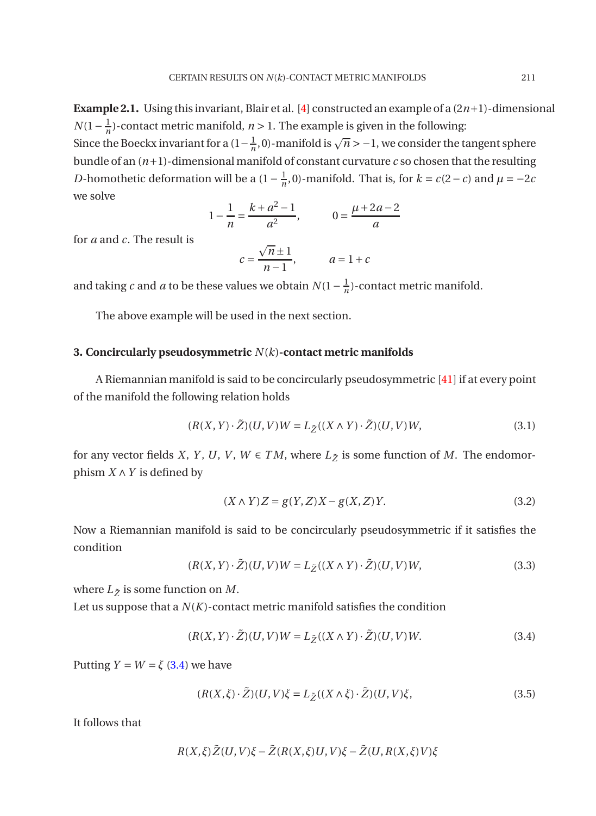**Example 2.1.** Using this invariant, Blair et al. [\[4](#page-13-3)] constructed an example of a  $(2n+1)$ -dimensional  $N(1-\frac{1}{n})$  $\frac{1}{n}$ )-contact metric manifold, *n* > 1. The example is given in the following: Since the Boeckx invariant for a  $(1 - \frac{1}{n})$  $\frac{1}{n}$ , 0)-manifold is  $\sqrt{n}$  > −1, we consider the tangent sphere

bundle of an (*n*+1)-dimensional manifold of constant curvature *c* so chosen that the resulting *D*-homothetic deformation will be a  $(1 - \frac{1}{n})$  $\frac{1}{n}$ ,0)-manifold. That is, for  $k = c(2 - c)$  and  $\mu = -2c$ we solve

$$
1 - \frac{1}{n} = \frac{k + a^2 - 1}{a^2}, \qquad 0 = \frac{\mu + 2a - 2}{a}
$$

for *a* and *c*. The result is

$$
c = \frac{\sqrt{n} \pm 1}{n-1}, \qquad a = 1 + c
$$

and taking *c* and *a* to be these values we obtain  $N(1 - \frac{1}{n})$  $\frac{1}{n}$ )-contact metric manifold.

The above example will be used in the next section.

### **3. Concircularly pseudosymmetric** *N*(*k*)**-contact metric manifolds**

A Riemannian manifold is said to be concircularly pseudosymmetric [\[41\]](#page-15-3) if at every point of the manifold the following relation holds

$$
(R(X, Y) \cdot \tilde{Z})(U, V)W = L_{\tilde{Z}}((X \wedge Y) \cdot \tilde{Z})(U, V)W, \tag{3.1}
$$

for any vector fields *X*, *Y*, *U*, *V*, *W*  $\in TM$ , where  $L_{\tilde{Z}}$  is some function of *M*. The endomorphism  $X \wedge Y$  is defined by

<span id="page-6-0"></span>
$$
(X \wedge Y)Z = g(Y, Z)X - g(X, Z)Y.
$$
\n
$$
(3.2)
$$

Now a Riemannian manifold is said to be concircularly pseudosymmetric if it satisfies the condition

$$
(R(X, Y) \cdot \tilde{Z})(U, V)W = L_{\tilde{Z}}((X \wedge Y) \cdot \tilde{Z})(U, V)W, \tag{3.3}
$$

where  $L_{\tilde{Z}}$  is some function on *M*.

Let us suppose that a  $N(K)$ -contact metric manifold satisfies the condition

$$
(R(X, Y) \cdot \tilde{Z})(U, V)W = L_{\tilde{Z}}((X \wedge Y) \cdot \tilde{Z})(U, V)W.
$$
\n(3.4)

Putting  $Y = W = \xi$  [\(3.4\)](#page-6-0) we have

$$
(R(X,\xi)\cdot\tilde{Z})(U,V)\xi = L_{\tilde{Z}}((X\wedge\xi)\cdot\tilde{Z})(U,V)\xi,
$$
\n(3.5)

It follows that

<span id="page-6-1"></span>
$$
R(X,\xi)\tilde{Z}(U,V)\xi-\tilde{Z}(R(X,\xi)U,V)\xi-\tilde{Z}(U,R(X,\xi)V)\xi
$$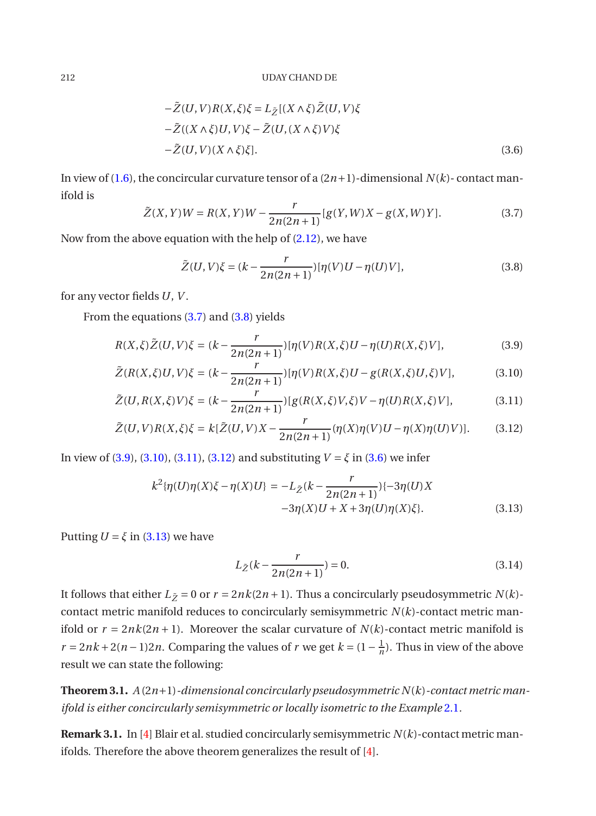$$
-\tilde{Z}(U,V)R(X,\xi)\xi = L_{\tilde{Z}}[(X \wedge \xi)\tilde{Z}(U,V)\xi
$$
  

$$
-\tilde{Z}((X \wedge \xi)U,V)\xi - \tilde{Z}(U,(X \wedge \xi)V)\xi
$$
  

$$
-\tilde{Z}(U,V)(X \wedge \xi)\xi].
$$
 (3.6)

<span id="page-7-0"></span>In view of [\(1.6\)](#page-2-0), the concircular curvature tensor of a  $(2n+1)$ -dimensional  $N(k)$ - contact manifold is

$$
\tilde{Z}(X,Y)W = R(X,Y)W - \frac{r}{2n(2n+1)}[g(Y,W)X - g(X,W)Y].
$$
\n(3.7)

Now from the above equation with the help of [\(2.12\)](#page-4-0), we have

<span id="page-7-1"></span>
$$
\tilde{Z}(U,V)\xi = (k - \frac{r}{2n(2n+1)})[\eta(V)U - \eta(U)V],
$$
\n(3.8)

for any vector fields *U*, *V* .

From the equations [\(3.7\)](#page-7-0) and [\(3.8\)](#page-7-1) yields

<span id="page-7-2"></span>
$$
R(X,\xi)\tilde{Z}(U,V)\xi = (k - \frac{r}{2n(2n+1)})[\eta(V)R(X,\xi)U - \eta(U)R(X,\xi)V],
$$
\n(3.9)

$$
\tilde{Z}(R(X,\xi)U,V)\xi = (k - \frac{r}{2n(2n+1)})[\eta(V)R(X,\xi)U - g(R(X,\xi)U,\xi)V],
$$
\n(3.10)

$$
\tilde{Z}(U, R(X,\xi)V)\xi = (k - \frac{r}{2n(2n+1)})[g(R(X,\xi)V,\xi)V - \eta(U)R(X,\xi)V],
$$
\n(3.11)

$$
\tilde{Z}(U,V)R(X,\xi)\xi = k[\tilde{Z}(U,V)X - \frac{r}{2n(2n+1)}(\eta(X)\eta(V)U - \eta(X)\eta(U)V)].
$$
 (3.12)

In view of [\(3.9\)](#page-7-2), [\(3.10\)](#page-7-2), [\(3.11\)](#page-7-2), [\(3.12\)](#page-7-2) and substituting  $V = \xi$  in [\(3.6\)](#page-6-1) we infer

<span id="page-7-3"></span>
$$
k^{2}\{\eta(U)\eta(X)\xi - \eta(X)U\} = -L_{\tilde{Z}}(k - \frac{r}{2n(2n+1)})\{-3\eta(U)X - 3\eta(X)U + X + 3\eta(U)\eta(X)\xi\}.
$$
\n(3.13)

Putting  $U = \xi$  in [\(3.13\)](#page-7-3) we have

$$
L_{\tilde{Z}}(k - \frac{r}{2n(2n+1)}) = 0.
$$
\n(3.14)

It follows that either  $L_{\tilde{Z}} = 0$  or  $r = 2nk(2n + 1)$ . Thus a concircularly pseudosymmetric  $N(k)$ contact metric manifold reduces to concircularly semisymmetric  $N(k)$ -contact metric manifold or  $r = 2nk(2n + 1)$ . Moreover the scalar curvature of  $N(k)$ -contact metric manifold is *r* = 2*nk* + 2(*n* − 1)2*n*. Comparing the values of *r* we get  $k = (1 - \frac{1}{n})$  $\frac{1}{n}$ ). Thus in view of the above result we can state the following:

**Theorem 3.1.** *A* (2*n*+1)*-dimensional concircularly pseudosymmetric N*(*k*)*-contact metric manifold is either concircularly semisymmetric or locally isometric to the Example* [2.1](#page-5-0).

**Remark 3.1.** In [\[4\]](#page-13-3) Blair et al. studied concircularly semisymmetric *N*(*k*)-contact metric manifolds. Therefore the above theorem generalizes the result of [\[4\]](#page-13-3).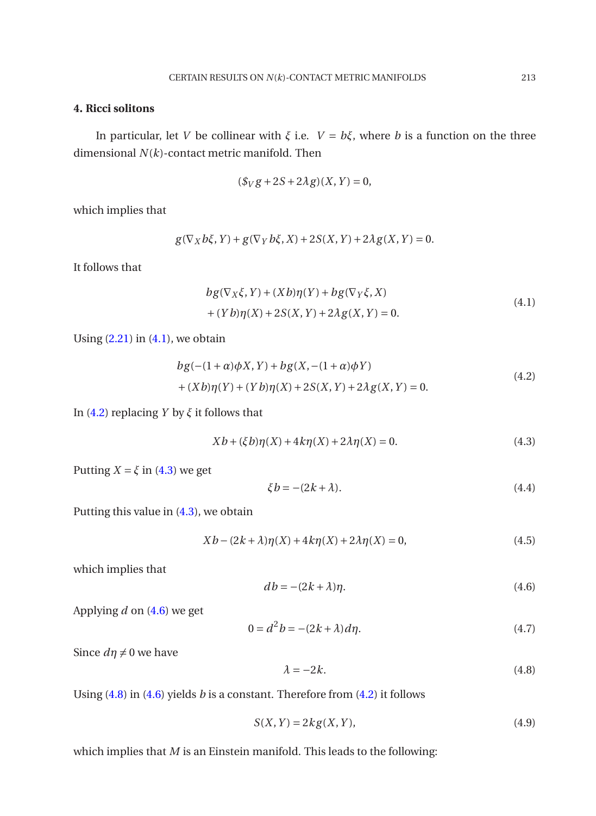# **4. Ricci solitons**

In particular, let *V* be collinear with  $\xi$  i.e.  $V = b\xi$ , where *b* is a function on the three dimensional *N*(*k*)-contact metric manifold. Then

$$
(\$_Vg+2S+2\lambda g)(X,Y)=0,
$$

which implies that

$$
g(\nabla_X b\xi, Y) + g(\nabla_Y b\xi, X) + 2S(X, Y) + 2\lambda g(X, Y) = 0.
$$

It follows that

<span id="page-8-0"></span>
$$
bg(\nabla_X \xi, Y) + (Xb)\eta(Y) + bg(\nabla_Y \xi, X) + (Yb)\eta(X) + 2S(X, Y) + 2\lambda g(X, Y) = 0.
$$
\n(4.1)

Using  $(2.21)$  in  $(4.1)$ , we obtain

<span id="page-8-1"></span>
$$
bg(-(1+\alpha)\phi X, Y) + bg(X, -(1+\alpha)\phi Y) + (Xb)\eta(Y) + (Yb)\eta(X) + 2S(X, Y) + 2\lambda g(X, Y) = 0.
$$
 (4.2)

In [\(4.2\)](#page-8-1) replacing *Y* by *ξ* it follows that

<span id="page-8-2"></span>
$$
Xb + (\xi b)\eta(X) + 4k\eta(X) + 2\lambda\eta(X) = 0.
$$
\n(4.3)

Putting  $X = \xi$  in [\(4.3\)](#page-8-2) we get

$$
\xi b = -(2k + \lambda). \tag{4.4}
$$

Putting this value in [\(4.3\)](#page-8-2), we obtain

<span id="page-8-3"></span>
$$
Xb - (2k + \lambda)\eta(X) + 4k\eta(X) + 2\lambda\eta(X) = 0,
$$
\n(4.5)

which implies that

$$
db = -(2k + \lambda)\eta. \tag{4.6}
$$

Applying *d* on [\(4.6\)](#page-8-3) we get

<span id="page-8-4"></span>
$$
0 = d^2 b = -(2k + \lambda)d\eta.
$$
 (4.7)

Since  $d\eta \neq 0$  we have

$$
\lambda = -2k.\tag{4.8}
$$

Using [\(4.8\)](#page-8-4) in [\(4.6\)](#page-8-3) yields *b* is a constant. Therefore from [\(4.2\)](#page-8-1) it follows

$$
S(X,Y) = 2kg(X,Y),\tag{4.9}
$$

which implies that *M* is an Einstein manifold. This leads to the following: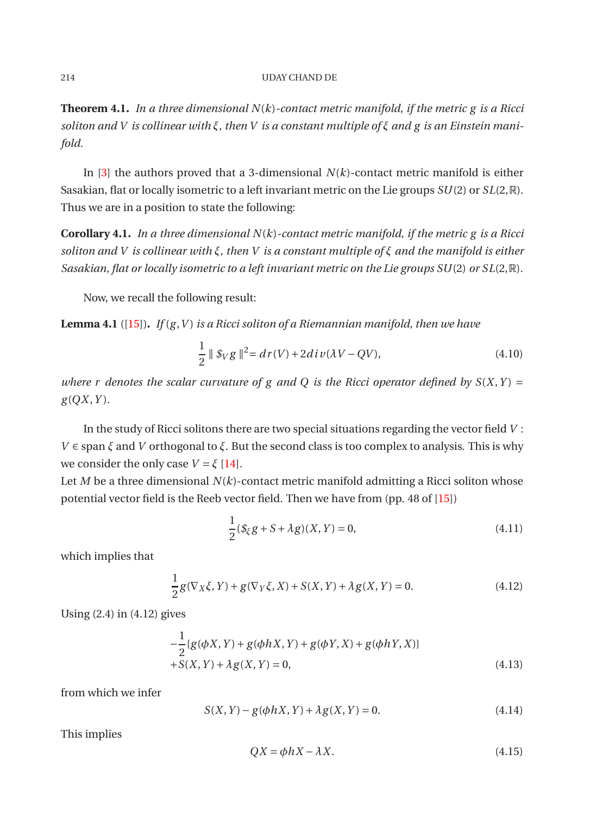**Theorem 4.1.** *In a three dimensional N*(*k*)*-contact metric manifold, if the metric g is a Ricci soliton and V is collinear with ξ, then V is a constant multiple of ξ and g is an Einstein manifold.*

In [\[3\]](#page-13-6) the authors proved that a 3-dimensional  $N(k)$ -contact metric manifold is either Sasakian, flat or locally isometric to a left invariant metric on the Lie groups *SU*(2) or *SL*(2,R). Thus we are in a position to state the following:

**Corollary 4.1.** *In a three dimensional N*(*k*)*-contact metric manifold, if the metric g is a Ricci soliton and V is collinear with ξ, then V is a constant multiple of ξ and the manifold is either Sasakian, flat or locally isometric to a left invariant metric on the Lie groups SU*(2) *or SL*(2,R)*.*

Now, we recall the following result:

**Lemma 4.1** ([\[15](#page-14-25)])**.** *If* (*g*,*V* ) *is a Ricci soliton of a Riemannian manifold, then we have*

$$
\frac{1}{2} \| \mathcal{S}_V g \|^2 = dr(V) + 2div(\lambda V - QV), \tag{4.10}
$$

*where r denotes the scalar curvature of g and Q is the Ricci operator defined by*  $S(X, Y) =$ *g*(*QX*,*Y* )*.*

In the study of Ricci solitons there are two special situations regarding the vector field *V* : *V* ∈ span *ξ* and *V* orthogonal to *ξ*. But the second class is too complex to analysis. This is why we consider the only case  $V = \xi$  [\[14](#page-14-1)].

Let *M* be a three dimensional *N*(*k*)-contact metric manifold admitting a Ricci soliton whose potential vector field is the Reeb vector field. Then we have from (pp. 48 of [\[15\]](#page-14-25))

$$
\frac{1}{2}(\mathcal{S}_{\xi}g + S + \lambda g)(X, Y) = 0,\tag{4.11}
$$

which implies that

$$
\frac{1}{2}g(\nabla_X\xi, Y) + g(\nabla_Y\xi, X) + S(X, Y) + \lambda g(X, Y) = 0.
$$
 (4.12)

Using (2.4) in (4.12) gives

$$
-\frac{1}{2}\{g(\phi X, Y) + g(\phi hX, Y) + g(\phi Y, X) + g(\phi hY, X)\} + S(X, Y) + \lambda g(X, Y) = 0,
$$
\n(4.13)

from which we infer

$$
S(X, Y) - g(\phi hX, Y) + \lambda g(X, Y) = 0.
$$
 (4.14)

This implies

$$
QX = \phi hX - \lambda X. \tag{4.15}
$$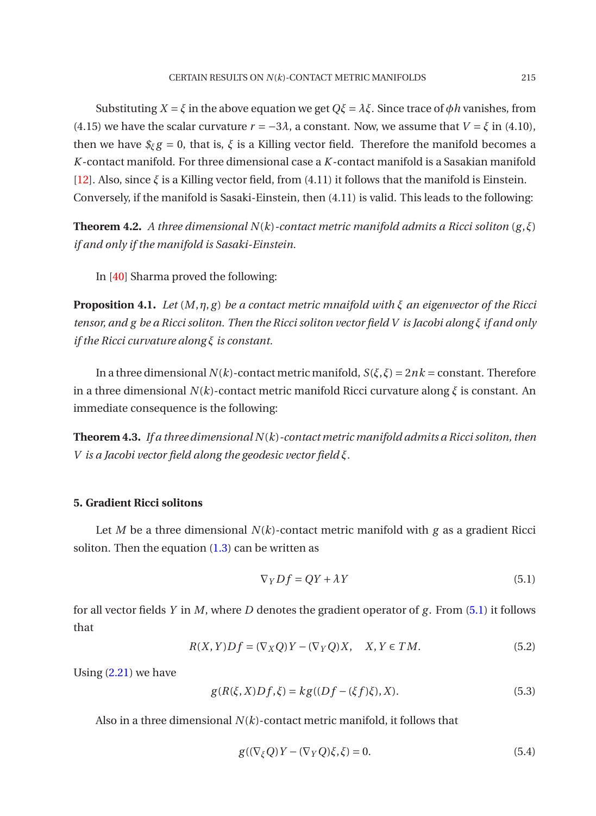Substituting  $X = \xi$  in the above equation we get  $O\xi = \lambda \xi$ . Since trace of  $\phi h$  vanishes, from (4.15) we have the scalar curvature  $r = -3\lambda$ , a constant. Now, we assume that  $V = \xi$  in (4.10), then we have  $\oint_{\mathcal{E}} g = 0$ , that is,  $\xi$  is a Killing vector field. Therefore the manifold becomes a *K* -contact manifold. For three dimensional case a *K* -contact manifold is a Sasakian manifold [\[12](#page-14-26)]. Also, since *ξ* is a Killing vector field, from (4.11) it follows that the manifold is Einstein. Conversely, if the manifold is Sasaki-Einstein, then (4.11) is valid. This leads to the following:

**Theorem 4.2.** *A three dimensional N*(*k*)*-contact metric manifold admits a Ricci soliton* (*g*,*ξ*) *if and only if the manifold is Sasaki-Einstein.*

In [\[40](#page-15-9)] Sharma proved the following:

**Proposition 4.1.** *Let* (*M*,*η*, *g*) *be a contact metric mnaifold with ξ an eigenvector of the Ricci tensor, and g be a Ricci soliton. Then the Ricci soliton vector field V is Jacobi along ξ if and only if the Ricci curvature along ξ is constant.*

In a three dimensional  $N(k)$ -contact metric manifold,  $S(\xi, \xi) = 2nk$  = constant. Therefore in a three dimensional *N*(*k*)-contact metric manifold Ricci curvature along *ξ* is constant. An immediate consequence is the following:

**Theorem 4.3.** *If a three dimensional N*(*k*)*-contactmetric manifold admits a Ricci soliton, then V is a Jacobi vector field along the geodesic vector field ξ.*

# **5. Gradient Ricci solitons**

Let *M* be a three dimensional *N*(*k*)-contact metric manifold with *g* as a gradient Ricci soliton. Then the equation  $(1.3)$  can be written as

<span id="page-10-0"></span>
$$
\nabla_Y Df = QY + \lambda Y \tag{5.1}
$$

<span id="page-10-1"></span>for all vector fields *Y* in *M*, where *D* denotes the gradient operator of *g*. From [\(5.1\)](#page-10-0) it follows that

<span id="page-10-2"></span>
$$
R(X,Y)Df = (\nabla_X Q)Y - (\nabla_Y Q)X, \quad X, Y \in TM.
$$
\n
$$
(5.2)
$$

Using [\(2.21\)](#page-5-1) we have

$$
g(R(\xi, X)Df, \xi) = kg((Df - (\xi f)\xi), X).
$$
 (5.3)

Also in a three dimensional  $N(k)$ -contact metric manifold, it follows that

<span id="page-10-3"></span>
$$
g((\nabla_{\xi}Q)Y - (\nabla_{Y}Q)\xi, \xi) = 0.
$$
\n(5.4)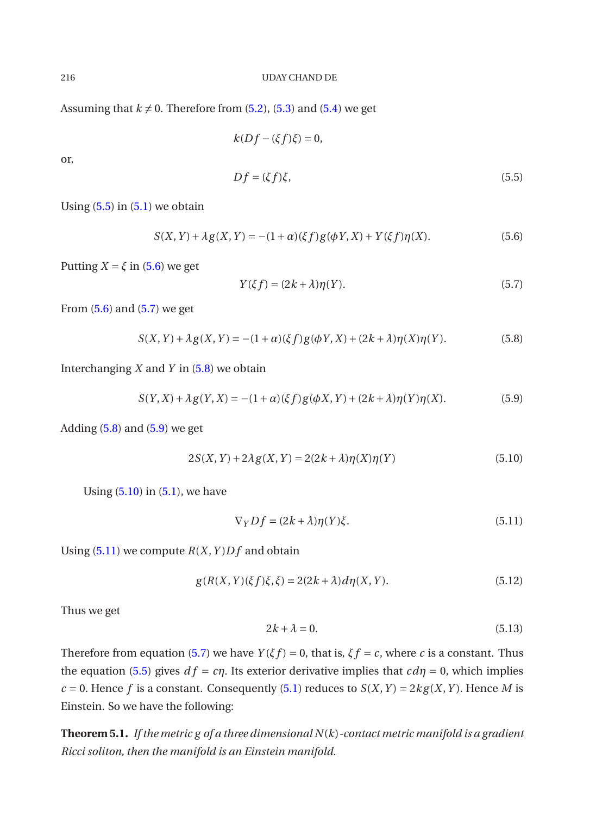Assuming that  $k \neq 0$ . Therefore from [\(5.2\)](#page-10-1), [\(5.3\)](#page-10-2) and [\(5.4\)](#page-10-3) we get

<span id="page-11-0"></span>
$$
k(Df - (\xi f)\xi) = 0,
$$

or,

<span id="page-11-1"></span>
$$
Df = (\xi f)\xi,\tag{5.5}
$$

Using  $(5.5)$  in  $(5.1)$  we obtain

$$
S(X, Y) + \lambda g(X, Y) = -(1 + \alpha)(\xi f)g(\phi Y, X) + Y(\xi f)\eta(X).
$$
 (5.6)

Putting  $X = \xi$  in [\(5.6\)](#page-11-1) we get

<span id="page-11-4"></span><span id="page-11-3"></span><span id="page-11-2"></span>
$$
Y(\xi f) = (2k + \lambda)\eta(Y). \tag{5.7}
$$

From [\(5.6\)](#page-11-1) and [\(5.7\)](#page-11-2) we get

$$
S(X, Y) + \lambda g(X, Y) = -(1 + \alpha)(\xi f)g(\phi Y, X) + (2k + \lambda)\eta(X)\eta(Y).
$$
 (5.8)

Interchanging *X* and *Y* in [\(5.8\)](#page-11-3) we obtain

$$
S(Y, X) + \lambda g(Y, X) = -(1 + \alpha)(\xi f)g(\phi X, Y) + (2k + \lambda)\eta(Y)\eta(X).
$$
 (5.9)

Adding  $(5.8)$  and  $(5.9)$  we get

<span id="page-11-5"></span>
$$
2S(X,Y) + 2\lambda g(X,Y) = 2(2k + \lambda)\eta(X)\eta(Y)
$$
\n(5.10)

Using  $(5.10)$  in  $(5.1)$ , we have

<span id="page-11-6"></span>
$$
\nabla_Y Df = (2k + \lambda)\eta(Y)\xi.
$$
\n(5.11)

Using  $(5.11)$  we compute  $R(X, Y)Df$  and obtain

$$
g(R(X,Y)(\xi f)\xi,\xi) = 2(2k+\lambda)d\eta(X,Y). \tag{5.12}
$$

Thus we get

$$
2k + \lambda = 0. \tag{5.13}
$$

Therefore from equation [\(5.7\)](#page-11-2) we have  $Y(\xi f) = 0$ , that is,  $\xi f = c$ , where *c* is a constant. Thus the equation [\(5.5\)](#page-11-0) gives  $df = cp$ . Its exterior derivative implies that  $cd\eta = 0$ , which implies  $c = 0$ . Hence *f* is a constant. Consequently [\(5.1\)](#page-10-0) reduces to  $S(X, Y) = 2kg(X, Y)$ . Hence *M* is Einstein. So we have the following:

**Theorem 5.1.** *If the metric g of a three dimensional N*(*k*)*-contact metric manifold is a gradient Ricci soliton, then the manifold is an Einstein manifold.*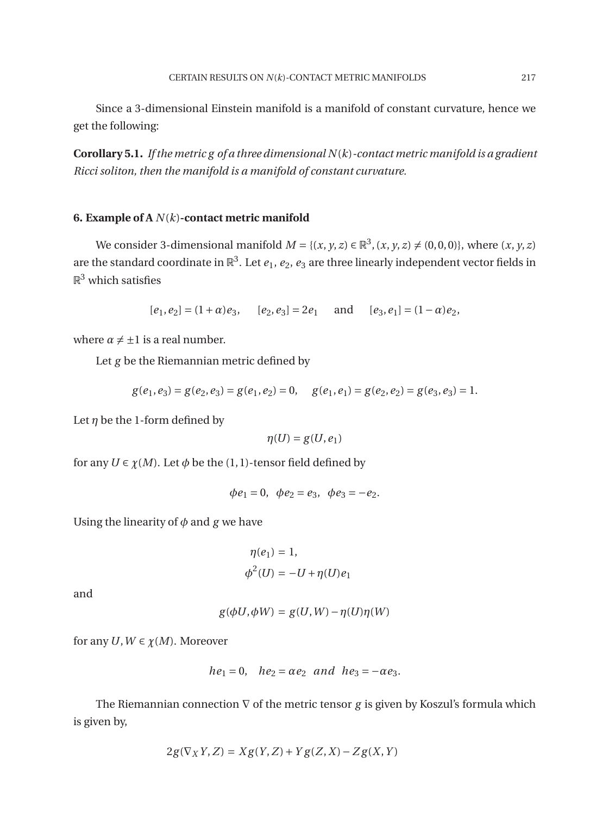Since a 3-dimensional Einstein manifold is a manifold of constant curvature, hence we get the following:

**Corollary 5.1.** *If the metric g of a three dimensional N*(*k*)*-contact metric manifold is a gradient Ricci soliton, then the manifold is a manifold of constant curvature.*

### **6. Example of A** *N*(*k*)**-contact metric manifold**

We consider 3-dimensional manifold  $M = \{(x, y, z) \in \mathbb{R}^3, (x, y, z) \neq (0, 0, 0)\}\)$ , where  $(x, y, z)$ are the standard coordinate in  $\mathbb{R}^3$ . Let  $e_1$ ,  $e_2$ ,  $e_3$  are three linearly independent vector fields in  $\mathbb{R}^3$  which satisfies

 $[e_1, e_2] = (1 + \alpha)e_3$ ,  $[e_2, e_3] = 2e_1$  and  $[e_3, e_1] = (1 - \alpha)e_2$ ,

where  $\alpha \neq \pm 1$  is a real number.

Let *g* be the Riemannian metric defined by

$$
g(e_1, e_3) = g(e_2, e_3) = g(e_1, e_2) = 0, \quad g(e_1, e_1) = g(e_2, e_2) = g(e_3, e_3) = 1.
$$

Let  $\eta$  be the 1-form defined by

$$
\eta(U)=g(U,e_1)
$$

for any  $U \in \chi(M)$ . Let  $\phi$  be the (1, 1)-tensor field defined by

$$
\phi e_1 = 0
$$
,  $\phi e_2 = e_3$ ,  $\phi e_3 = -e_2$ .

Using the linearity of  $\phi$  and  $g$  we have

$$
\eta(e_1) = 1,
$$
  

$$
\phi^2(U) = -U + \eta(U)e_1
$$

and

$$
g(\phi U, \phi W) = g(U, W) - \eta(U)\eta(W)
$$

for any  $U, W \in \chi(M)$ . Moreover

$$
he_1 = 0
$$
,  $he_2 = ae_2$  and  $he_3 = -\alpha e_3$ .

The Riemannian connection  $∇$  of the metric tensor *g* is given by Koszul's formula which is given by,

$$
2g(\nabla_X Y, Z) = Xg(Y, Z) + Yg(Z, X) - Zg(X, Y)
$$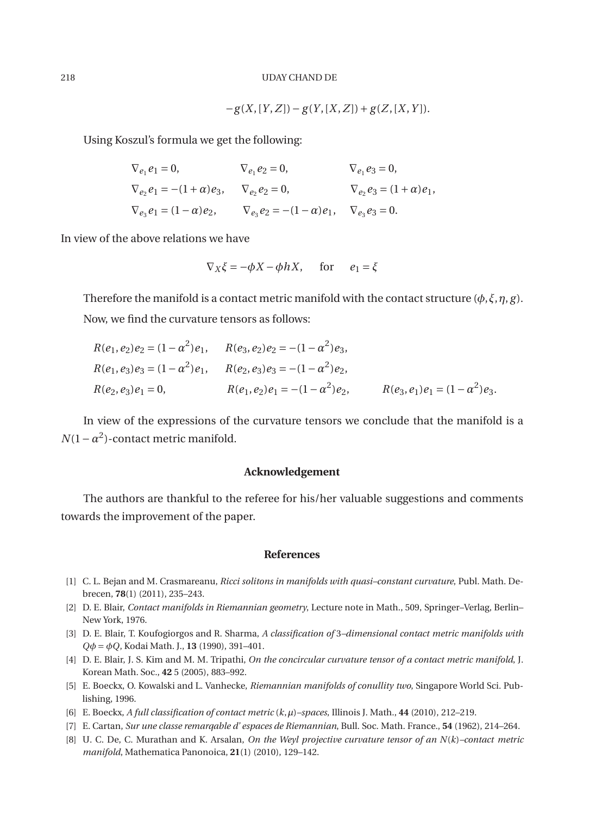$$
-g(X,[Y,Z]) - g(Y,[X,Z]) + g(Z,[X,Y]).
$$

Using Koszul's formula we get the following:

$$
\nabla_{e_1} e_1 = 0, \nabla_{e_1} e_2 = 0, \nabla_{e_1} e_3 = 0, \n\nabla_{e_2} e_1 = -(1 + \alpha) e_3, \nabla_{e_2} e_2 = 0, \nabla_{e_2} e_3 = (1 + \alpha) e_1, \n\nabla_{e_3} e_1 = (1 - \alpha) e_2, \nabla_{e_3} e_2 = -(1 - \alpha) e_1, \nabla_{e_3} e_3 = 0.
$$

In view of the above relations we have

$$
\nabla_X \xi = -\phi X - \phi hX, \quad \text{for} \quad e_1 = \xi
$$

Therefore the manifold is a contact metric manifold with the contact structure  $(\phi, \xi, \eta, g)$ . Now, we find the curvature tensors as follows:

$$
R(e_1, e_2)e_2 = (1 - \alpha^2)e_1, \qquad R(e_3, e_2)e_2 = -(1 - \alpha^2)e_3,
$$
  
\n
$$
R(e_1, e_3)e_3 = (1 - \alpha^2)e_1, \qquad R(e_2, e_3)e_3 = -(1 - \alpha^2)e_2,
$$
  
\n
$$
R(e_2, e_3)e_1 = 0, \qquad R(e_1, e_2)e_1 = -(1 - \alpha^2)e_2, \qquad R(e_3, e_1)e_1 = (1 - \alpha^2)e_3.
$$

In view of the expressions of the curvature tensors we conclude that the manifold is a  $N(1-\alpha^2)$ -contact metric manifold.

### **Acknowledgement**

The authors are thankful to the referee for his/her valuable suggestions and comments towards the improvement of the paper.

### **References**

- <span id="page-13-0"></span>[1] C. L. Bejan and M. Crasmareanu, *Ricci solitons in manifolds with quasi–constant curvature*, Publ. Math. Debrecen, **78**(1) (2011), 235–243.
- <span id="page-13-5"></span>[2] D. E. Blair, *Contact manifolds in Riemannian geometry*, Lecture note in Math., 509, Springer–Verlag, Berlin– New York, 1976.
- <span id="page-13-6"></span>[3] D. E. Blair, T. Koufogiorgos and R. Sharma, *A classification of* 3*–dimensional contact metric manifolds with Qφ* = *φQ*, Kodai Math. J., **13** (1990), 391–401.
- <span id="page-13-3"></span>[4] D. E. Blair, J. S. Kim and M. M. Tripathi, *On the concircular curvature tensor of a contact metric manifold*, J. Korean Math. Soc., **42** 5 (2005), 883–992.
- <span id="page-13-2"></span>[5] E. Boeckx, O. Kowalski and L. Vanhecke, *Riemannian manifolds of conullity two*, Singapore World Sci. Publishing, 1996.
- <span id="page-13-7"></span>[6] E. Boeckx, *A full classification of contact metric* (*k*,*µ*)*–spaces*, Illinois J. Math., **44** (2010), 212–219.
- <span id="page-13-1"></span>[7] E. Cartan, *Sur une classe remarqable d' espaces de Riemannian*, Bull. Soc. Math. France., **54** (1962), 214–264.
- <span id="page-13-4"></span>[8] U. C. De, C. Murathan and K. Arsalan, *On the Weyl projective curvature tensor of an N*(*k*)*–contact metric manifold*, Mathematica Panonoica, **21**(1) (2010), 129–142.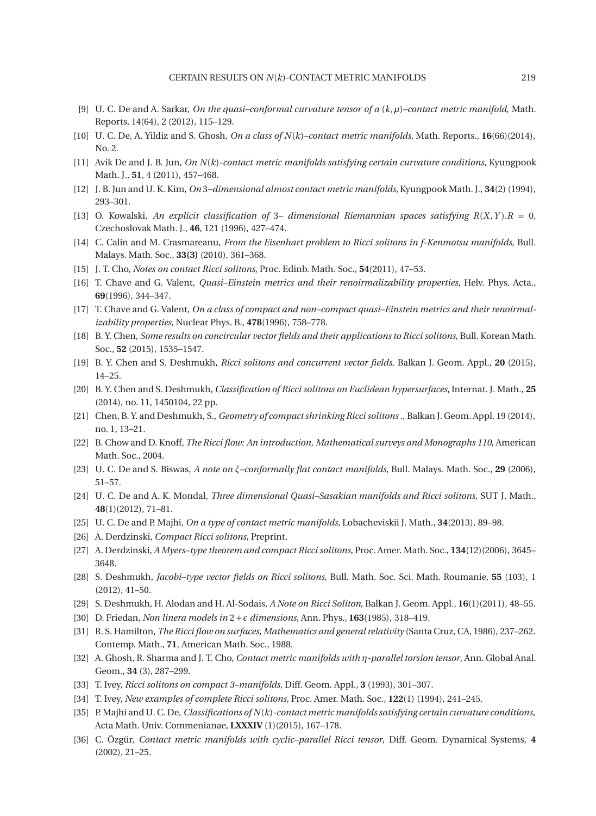- <span id="page-14-17"></span>[9] U. C. De and A. Sarkar, *On the quasi–conformal curvature tensor of a* (*k*,*µ*)*–contact metric manifold*, Math. Reports, 14(64), 2 (2012), 115–129.
- <span id="page-14-18"></span>[10] U. C. De, A. Yildiz and S. Ghosh, *On a class of N*(*k*)*–contact metric manifolds*, Math. Reports., **16**(66)(2014), No. 2.
- <span id="page-14-19"></span>[11] Avik De and J. B. Jun, *On N*(*k*)*-contact metric manifolds satisfying certain curvature conditions*, Kyungpook Math. J., **51**, 4 (2011), 457–468.
- <span id="page-14-26"></span>[12] J. B. Jun and U. K. Kim, *On* 3*–dimensional almost contact metric manifolds*, Kyungpook Math. J., **34**(2) (1994), 293–301.
- <span id="page-14-16"></span>[13] O. Kowalski, *An explicit classification of* 3*– dimensional Riemannian spaces satisfying R*(*X*,*Y* ).*R* = 0, Czechoslovak Math. J., **46**, 121 (1996), 427–474.
- <span id="page-14-1"></span>[14] C. Calin and M. Crasmareanu, *From the Eisenhart problem to Ricci solitons in f-Kenmotsu manifolds*, Bull. Malays. Math. Soc., **33(3)** (2010), 361–368.
- <span id="page-14-25"></span>[15] J. T. Cho, *Notes on contact Ricci solitons*, Proc. Edinb. Math. Soc., **54**(2011), 47–53.
- <span id="page-14-2"></span>[16] T. Chave and G. Valent, *Quasi–Einstein metrics and their renoirmalizability properties*, Helv. Phys. Acta., **69**(1996), 344–347.
- <span id="page-14-3"></span>[17] T. Chave and G. Valent, *On a class of compact and non–compact quasi–Einstein metrics and their renoirmalizability properties*, Nuclear Phys. B., **478**(1996), 758–778.
- <span id="page-14-12"></span>[18] B. Y. Chen, *Some results on concircular vector fields and their applications to Ricci solitons*, Bull. Korean Math. Soc., **52** (2015), 1535–1547.
- <span id="page-14-13"></span>[19] B. Y. Chen and S. Deshmukh, *Ricci solitons and concurrent vector fields*, Balkan J. Geom. Appl., **20** (2015), 14–25.
- <span id="page-14-14"></span>[20] B. Y. Chen and S. Deshmukh, *Classification of Ricci solitons on Euclidean hypersurfaces*, Internat. J. Math., **25** (2014), no. 11, 1450104, 22 pp.
- <span id="page-14-15"></span>[21] Chen, B. Y. and Deshmukh, S., *Geometry of compact shrinking Ricci solitons* ., Balkan J. Geom. Appl. 19 (2014), no. 1, 13–21.
- <span id="page-14-6"></span>[22] B. Chow and D. Knoff, *The Ricci flow: An introduction, Mathematical surveys and Monographs 110*, American Math. Soc., 2004.
- <span id="page-14-23"></span>[23] U. C. De and S. Biswas, *A note on ξ–conformally flat contact manifolds*, Bull. Malays. Math. Soc., **29** (2006), 51–57.
- <span id="page-14-24"></span>[24] U. C. De and A. K. Mondal, *Three dimensional Quasi–Sasakian manifolds and Ricci solitons*, SUT J. Math., **48**(1)(2012), 71–81.
- <span id="page-14-20"></span>[25] U. C. De and P. Majhi, *On a type of contact metric manifolds*, Lobacheviskii J. Math., **34**(2013), 89–98.
- [26] A. Derdzinski, *Compact Ricci solitons*, Preprint.
- <span id="page-14-8"></span>[27] A. Derdzinski, *A Myers–type theorem and compact Ricci solitons*, Proc. Amer. Math. Soc., **134**(12)(2006), 3645– 3648.
- <span id="page-14-9"></span>[28] S. Deshmukh, *Jacobi–type vector fields on Ricci solitons*, Bull. Math. Soc. Sci. Math. Roumanie, **55** (103), 1 (2012), 41–50.
- <span id="page-14-10"></span>[29] S. Deshmukh, H. Alodan and H. Al-Sodais, *A Note on Ricci Soliton*, Balkan J. Geom. Appl., **16**(1)(2011), 48–55.
- <span id="page-14-4"></span>[30] D. Friedan, *Non linera models in* 2+*ǫ dimensions*, Ann. Phys., **163**(1985), 318–419.
- <span id="page-14-0"></span>[31] R. S. Hamilton, *The Ricci flow on surfaces, Mathematics and general relativity* (Santa Cruz, CA, 1986), 237–262. Contemp. Math., **71**, American Math. Soc., 1988.
- <span id="page-14-11"></span>[32] A. Ghosh, R. Sharma and J. T. Cho, *Contact metric manifolds with η-parallel torsion tensor*, Ann. Global Anal. Geom., **34** (3), 287–299.
- <span id="page-14-5"></span>[33] T. Ivey, *Ricci solitons on compact 3–manifolds*, Diff. Geom. Appl., **3** (1993), 301–307.
- <span id="page-14-7"></span>[34] T. Ivey, *New examples of complete Ricci solitons*, Proc. Amer. Math. Soc., **122**(1) (1994), 241–245.
- <span id="page-14-21"></span>[35] P. Majhi and U. C. De, *Classifications of N*(*k*)*-contact metric manifolds satisfying certain curvature conditions*, Acta Math. Univ. Commenianae, **LXXXIV** (1)(2015), 167–178.
- <span id="page-14-22"></span>[36] C. Özgür, *Contact metric manifolds with cyclic–parallel Ricci tensor*, Diff. Geom. Dynamical Systems, **4** (2002), 21–25.